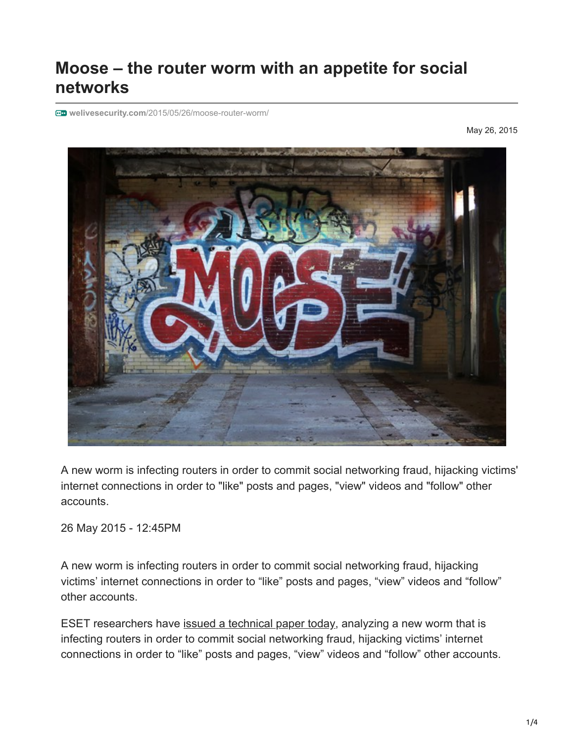## **Moose – the router worm with an appetite for social networks**

**welivesecurity.com**[/2015/05/26/moose-router-worm/](http://www.welivesecurity.com/2015/05/26/moose-router-worm/)

May 26, 2015



A new worm is infecting routers in order to commit social networking fraud, hijacking victims' internet connections in order to "like" posts and pages, "view" videos and "follow" other accounts.

26 May 2015 - 12:45PM

A new worm is infecting routers in order to commit social networking fraud, hijacking victims' internet connections in order to "like" posts and pages, "view" videos and "follow" other accounts.

ESET researchers have [issued a technical paper today,](http://www.welivesecurity.com/wp-content/uploads/2015/05/Dissecting-LinuxMoose.pdf) analyzing a new worm that is infecting routers in order to commit social networking fraud, hijacking victims' internet connections in order to "like" posts and pages, "view" videos and "follow" other accounts.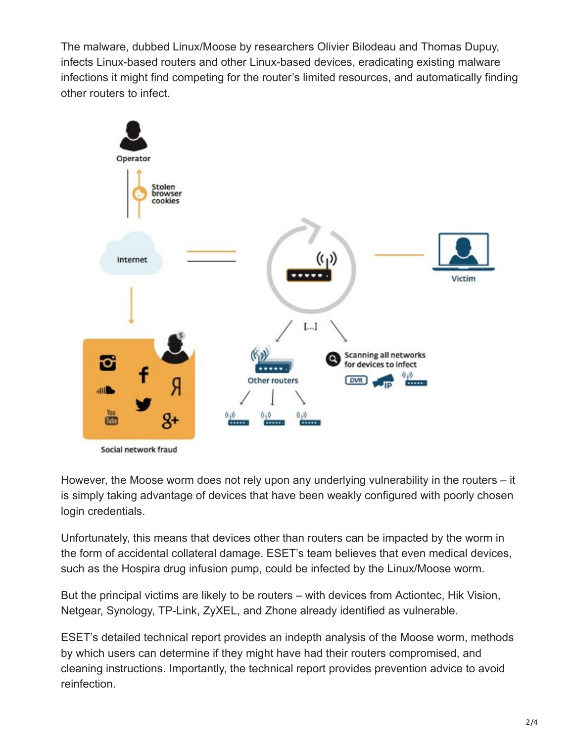The malware, dubbed Linux/Moose by researchers Olivier Bilodeau and Thomas Dupuy, infects Linux-based routers and other Linux-based devices, eradicating existing malware infections it might find competing for the router's limited resources, and automatically finding other routers to infect.



However, the Moose worm does not rely upon any underlying vulnerability in the routers – it is simply taking advantage of devices that have been weakly configured with poorly chosen login credentials.

Unfortunately, this means that devices other than routers can be impacted by the worm in the form of accidental collateral damage. ESET's team believes that even medical devices, such as the Hospira drug infusion pump, could be infected by the Linux/Moose worm.

But the principal victims are likely to be routers – with devices from Actiontec, Hik Vision, Netgear, Synology, TP-Link, ZyXEL, and Zhone already identified as vulnerable.

ESET's detailed technical report provides an indepth analysis of the Moose worm, methods by which users can determine if they might have had their routers compromised, and cleaning instructions. Importantly, the technical report provides prevention advice to avoid reinfection.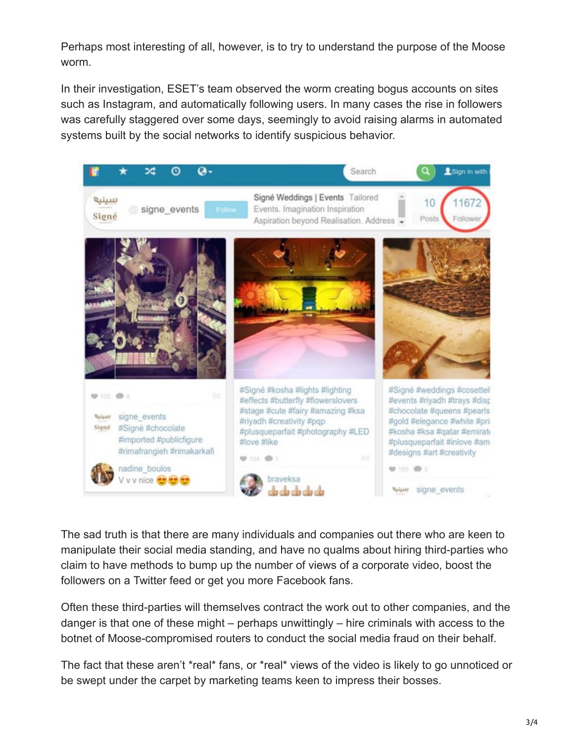Perhaps most interesting of all, however, is to try to understand the purpose of the Moose worm.

In their investigation, ESET's team observed the worm creating bogus accounts on sites such as Instagram, and automatically following users. In many cases the rise in followers was carefully staggered over some days, seemingly to avoid raising alarms in automated systems built by the social networks to identify suspicious behavior.



The sad truth is that there are many individuals and companies out there who are keen to manipulate their social media standing, and have no qualms about hiring third-parties who claim to have methods to bump up the number of views of a corporate video, boost the followers on a Twitter feed or get you more Facebook fans.

Often these third-parties will themselves contract the work out to other companies, and the danger is that one of these might – perhaps unwittingly – hire criminals with access to the botnet of Moose-compromised routers to conduct the social media fraud on their behalf.

The fact that these aren't \*real\* fans, or \*real\* views of the video is likely to go unnoticed or be swept under the carpet by marketing teams keen to impress their bosses.